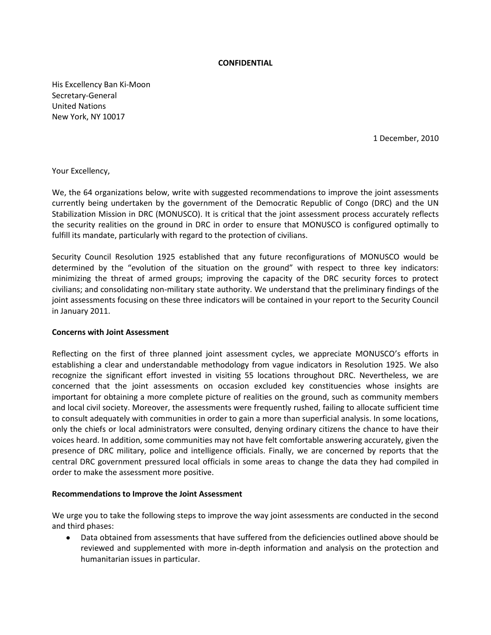### **CONFIDENTIAL**

His Excellency Ban Ki-Moon Secretary-General United Nations New York, NY 10017

1 December, 2010

Your Excellency,

We, the 64 organizations below, write with suggested recommendations to improve the joint assessments currently being undertaken by the government of the Democratic Republic of Congo (DRC) and the UN Stabilization Mission in DRC (MONUSCO). It is critical that the joint assessment process accurately reflects the security realities on the ground in DRC in order to ensure that MONUSCO is configured optimally to fulfill its mandate, particularly with regard to the protection of civilians.

Security Council Resolution 1925 established that any future reconfigurations of MONUSCO would be determined by the "evolution of the situation on the ground" with respect to three key indicators: minimizing the threat of armed groups; improving the capacity of the DRC security forces to protect civilians; and consolidating non-military state authority. We understand that the preliminary findings of the joint assessments focusing on these three indicators will be contained in your report to the Security Council in January 2011.

### **Concerns with Joint Assessment**

Reflecting on the first of three planned joint assessment cycles, we appreciate MONUSCO's efforts in establishing a clear and understandable methodology from vague indicators in Resolution 1925. We also recognize the significant effort invested in visiting 55 locations throughout DRC. Nevertheless, we are concerned that the joint assessments on occasion excluded key constituencies whose insights are important for obtaining a more complete picture of realities on the ground, such as community members and local civil society. Moreover, the assessments were frequently rushed, failing to allocate sufficient time to consult adequately with communities in order to gain a more than superficial analysis. In some locations, only the chiefs or local administrators were consulted, denying ordinary citizens the chance to have their voices heard. In addition, some communities may not have felt comfortable answering accurately, given the presence of DRC military, police and intelligence officials. Finally, we are concerned by reports that the central DRC government pressured local officials in some areas to change the data they had compiled in order to make the assessment more positive.

#### **Recommendations to Improve the Joint Assessment**

We urge you to take the following steps to improve the way joint assessments are conducted in the second and third phases:

Data obtained from assessments that have suffered from the deficiencies outlined above should be  $\bullet$ reviewed and supplemented with more in-depth information and analysis on the protection and humanitarian issues in particular.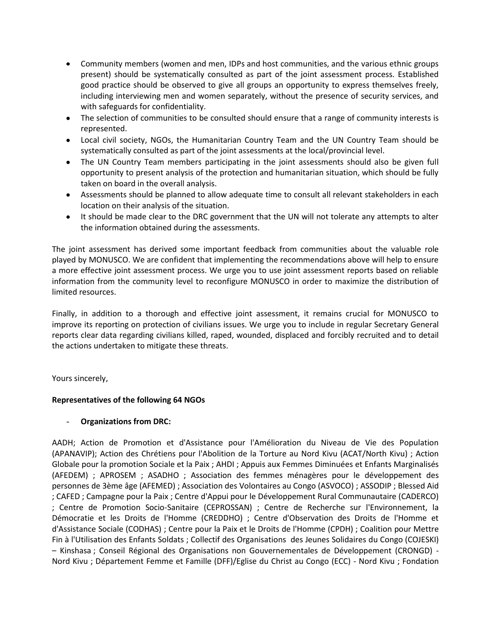- Community members (women and men, IDPs and host communities, and the various ethnic groups  $\bullet$ present) should be systematically consulted as part of the joint assessment process. Established good practice should be observed to give all groups an opportunity to express themselves freely, including interviewing men and women separately, without the presence of security services, and with safeguards for confidentiality.
- The selection of communities to be consulted should ensure that a range of community interests is represented.
- Local civil society, NGOs, the Humanitarian Country Team and the UN Country Team should be systematically consulted as part of the joint assessments at the local/provincial level.
- The UN Country Team members participating in the joint assessments should also be given full opportunity to present analysis of the protection and humanitarian situation, which should be fully taken on board in the overall analysis.
- Assessments should be planned to allow adequate time to consult all relevant stakeholders in each location on their analysis of the situation.
- It should be made clear to the DRC government that the UN will not tolerate any attempts to alter the information obtained during the assessments.

The joint assessment has derived some important feedback from communities about the valuable role played by MONUSCO. We are confident that implementing the recommendations above will help to ensure a more effective joint assessment process. We urge you to use joint assessment reports based on reliable information from the community level to reconfigure MONUSCO in order to maximize the distribution of limited resources.

Finally, in addition to a thorough and effective joint assessment, it remains crucial for MONUSCO to improve its reporting on protection of civilians issues. We urge you to include in regular Secretary General reports clear data regarding civilians killed, raped, wounded, displaced and forcibly recruited and to detail the actions undertaken to mitigate these threats.

Yours sincerely,

# **Representatives of the following 64 NGOs**

### - **Organizations from DRC:**

AADH; Action de Promotion et d'Assistance pour l'Amélioration du Niveau de Vie des Population (APANAVIP); Action des Chrétiens pour l'Abolition de la Torture au Nord Kivu (ACAT/North Kivu) ; Action Globale pour la promotion Sociale et la Paix ; AHDI ; Appuis aux Femmes Diminuées et Enfants Marginalisés (AFEDEM) ; APROSEM ; ASADHO ; Association des femmes ménagères pour le développement des personnes de 3ème âge (AFEMED) ; Association des Volontaires au Congo (ASVOCO) ; ASSODIP ; Blessed Aid ; CAFED ; Campagne pour la Paix ; Centre d'Appui pour le Développement Rural Communautaire (CADERCO) ; Centre de Promotion Socio-Sanitaire (CEPROSSAN) ; Centre de Recherche sur l'Environnement, la Démocratie et les Droits de l'Homme (CREDDHO) ; Centre d'Observation des Droits de l'Homme et d'Assistance Sociale (CODHAS) ; Centre pour la Paix et le Droits de l'Homme (CPDH) ; Coalition pour Mettre Fin à l'Utilisation des Enfants Soldats ; Collectif des Organisations des Jeunes Solidaires du Congo (COJESKI) – Kinshasa ; Conseil Régional des Organisations non Gouvernementales de Développement (CRONGD) - Nord Kivu ; Département Femme et Famille (DFF)/Eglise du Christ au Congo (ECC) - Nord Kivu ; Fondation